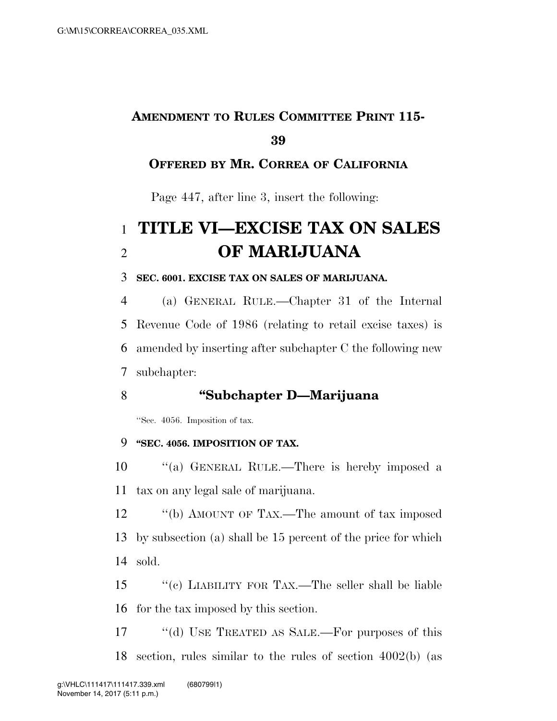# **AMENDMENT TO RULES COMMITTEE PRINT 115-**

## **OFFERED BY MR. CORREA OF CALIFORNIA**

Page 447, after line 3, insert the following:

# **TITLE VI—EXCISE TAX ON SALES OF MARIJUANA**

#### **SEC. 6001. EXCISE TAX ON SALES OF MARIJUANA.**

 (a) GENERAL RULE.—Chapter 31 of the Internal Revenue Code of 1986 (relating to retail excise taxes) is amended by inserting after subchapter C the following new subchapter:

## **''Subchapter D—Marijuana**

''Sec. 4056. Imposition of tax.

### **''SEC. 4056. IMPOSITION OF TAX.**

 ''(a) GENERAL RULE.—There is hereby imposed a tax on any legal sale of marijuana.

12 "(b) AMOUNT OF TAX.—The amount of tax imposed by subsection (a) shall be 15 percent of the price for which sold.

 ''(c) LIABILITY FOR TAX.—The seller shall be liable for the tax imposed by this section.

17 "(d) USE TREATED AS SALE.—For purposes of this section, rules similar to the rules of section 4002(b) (as